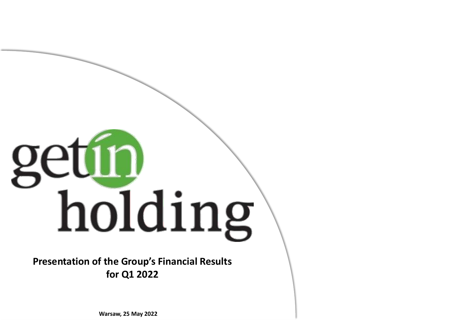# getín holding

**Presentation of the Group's Financial Results for Q1 2022**

**Warsaw, 25 May 2022**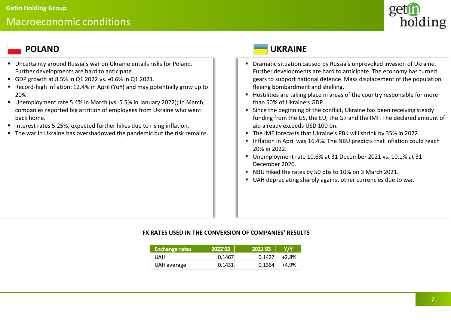# Macroeconomic conditions



- Uncertainty around Russia's war on Ukraine entails risks for Poland. Further developments are hard to anticipate.
- GDP growth at 8.5% in Q1 2022 vs. -0.6% in Q1 2021.
- Record-high inflation: 12.4% in April (YoY) and may potentially grow up to 20%.
- Unemployment rate 5.4% in March (vs. 5.5% in January 2022); in March, companies reported big attrition of employees from Ukraine who went back home.
- Interest rates 5.25%, expected further hikes due to rising inflation.
- The war in Ukraine has overshadowed the pandemic but the risk remains.

# **POLAND UKRAINE**

- Dramatic situation caused by Russia's unprovoked invasion of Ukraine. Further developments are hard to anticipate. The economy has turned gears to support national defence. Mass displacement of the population fleeing bombardment and shelling.
- Hostilities are taking place in areas of the country responsible for more than 50% of Ukraine's GDP.
- Since the beginning of the conflict, Ukraine has been receiving steady funding from the US, the EU, the G7 and the IMF. The declared amount of aid already exceeds USD 100 bn.
- The IMF forecasts that Ukraine's PBK will shrink by 35% in 2022.
- Inflation in April was 16.4%. The NBU predicts that inflation could reach 20% in 2022.
- Unemployment rate 10.6% at 31 December 2021 vs. 10.1% at 31 December 2020.
- NBU hiked the rates by 50 pbs to 10% on 3 March 2021.
- UAH depreciating sharply against other currencies due to war.

## **FX RATES USED IN THE CONVERSION OF COMPANIES' RESULTS**

| <b>Exchange rates</b> | 2022'03 | 2021'03 | <b>Y/Y</b> |
|-----------------------|---------|---------|------------|
| UAH                   | 0.1467  | 0.1427  | $+2.8%$    |
| UAH average           | 0.1431  | 0.1364  | $+4.9%$    |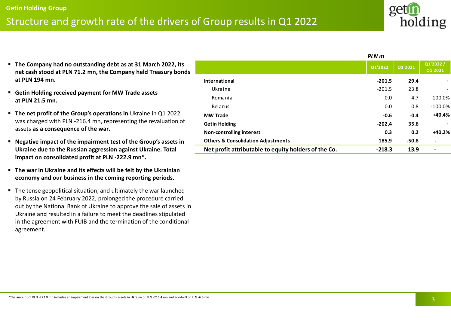# Structure and growth rate of the drivers of Group results in Q1 2022

- **The Company had no outstanding debt as at 31 March 2022, its net cash stood at PLN 71.2 mn, the Company held Treasury bonds at PLN 194 mn.**
- **Getin Holding received payment for MW Trade assets at PLN 21.5 mn.**
- **The net profit of the Group's operations in** Ukraine in Q1 2022 was charged with PLN -216.4 mn, representing the revaluation of assets **as a consequence of the war**.
- **Negative impact of the impairment test of the Group's assets in Ukraine due to the Russian aggression against Ukraine. Total impact on consolidated profit at PLN -222.9 mn\*.**
- **The war in Ukraine and its effects will be felt by the Ukrainian economy and our business in the coming reporting periods.**
- The tense geopolitical situation, and ultimately the war launched by Russia on 24 February 2022, prolonged the procedure carried out by the National Bank of Ukraine to approve the sale of assets in Ukraine and resulted in a failure to meet the deadlines stipulated in the agreement with FUIB and the termination of the conditional agreement.

|                                                      | PLN m    |         |                     |
|------------------------------------------------------|----------|---------|---------------------|
|                                                      | Q1'2022  | Q1'2021 | Q1'2022/<br>Q1'2021 |
| <b>International</b>                                 | $-201.5$ | 29.4    | ۰                   |
| Ukraine                                              | $-201.5$ | 23.8    |                     |
| Romania                                              | 0.0      | 4.7     | $-100.0\%$          |
| Belarus                                              | 0.0      | 0.8     | $-100.0\%$          |
| <b>MW Trade</b>                                      | $-0.6$   | $-0.4$  | $+40.4%$            |
| <b>Getin Holding</b>                                 | $-202.4$ | 35.6    |                     |
| <b>Non-controlling interest</b>                      | 0.3      | 0.2     | $+40.2%$            |
| <b>Others &amp; Consolidation Adjustments</b>        | 185.9    | $-50.8$ | $\blacksquare$      |
| Net profit attributable to equity holders of the Co. | $-218.3$ | 13.9    | -                   |

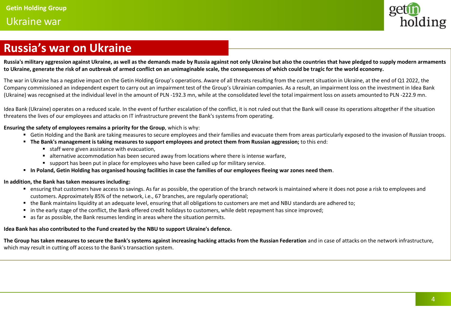# Ukraine war



# **Russia's war on Ukraine**

**Russia's military aggression against Ukraine, as well as the demands made by Russia against not only Ukraine but also the countries that have pledged to supply modern armaments to Ukraine, generate the risk of an outbreak of armed conflict on an unimaginable scale, the consequences of which could be tragic for the world economy.**

The war in Ukraine has a negative impact on the Getin Holding Group's operations. Aware of all threats resulting from the current situation in Ukraine, at the end of Q1 2022, the Company commissioned an independent expert to carry out an impairment test of the Group's Ukrainian companies. As a result, an impairment loss on the investment in Idea Bank (Ukraine) was recognised at the individual level in the amount of PLN -192.3 mn, while at the consolidated level the total impairment loss on assets amounted to PLN -222.9 mn.

Idea Bank (Ukraine) operates on a reduced scale. In the event of further escalation of the conflict, it is not ruled out that the Bank will cease its operations altogether if the situation threatens the lives of our employees and attacks on IT infrastructure prevent the Bank's systems from operating.

### **Ensuring the safety of employees remains a priority for the Group**, which is why:

- Getin Holding and the Bank are taking measures to secure employees and their families and evacuate them from areas particularly exposed to the invasion of Russian troops.
- **The Bank's management is taking measures to support employees and protect them from Russian aggression;** to this end:
	- staff were given assistance with evacuation,
	- alternative accommodation has been secured away from locations where there is intense warfare,
	- support has been put in place for employees who have been called up for military service.
- **In Poland, Getin Holding has organised housing facilities in case the families of our employees fleeing war zones need them**.

### **In addition, the Bank has taken measures including:**

- ensuring that customers have access to savings. As far as possible, the operation of the branch network is maintained where it does not pose a risk to employees and customers. Approximately 85% of the network, i.e., 67 branches, are regularly operational;
- the Bank maintains liquidity at an adequate level, ensuring that all obligations to customers are met and NBU standards are adhered to:
- in the early stage of the conflict, the Bank offered credit holidays to customers, while debt repayment has since improved;
- as far as possible, the Bank resumes lending in areas where the situation permits.

### **Idea Bank has also contributed to the Fund created by the NBU to support Ukraine's defence.**

The Group has taken measures to secure the Bank's systems against increasing hacking attacks from the Russian Federation and in case of attacks on the network infrastructure, which may result in cutting off access to the Bank's transaction system.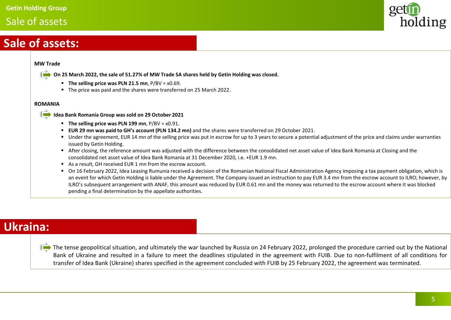# Sale of assets



# **Sale of assets:**

### **MW Trade**

- **On 25 March 2022, the sale of 51.27% of MW Trade SA shares held by Getin Holding was closed.**
	- **The selling price was PLN 21.5 mn**, P/BV = x0.69.
	- The price was paid and the shares were transferred on 25 March 2022.

### **ROMANIA**

- **Idea Bank Romania Group was sold on 29 October 2021**
	- **The selling price was PLN 199 mn**, P/BV = x0.91.
	- **EUR 29 mn was paid to GH's account (PLN 134.2 mn)** and the shares were transferred on 29 October 2021.
	- Under the agreement, EUR 14 mn of the selling price was put in escrow for up to 3 years to secure a potential adjustment of the price and claims under warranties issued by Getin Holding.
	- After closing, the reference amount was adjusted with the difference between the consolidated net asset value of Idea Bank Romania at Closing and the consolidated net asset value of Idea Bank Romania at 31 December 2020, i.e. +EUR 1.9 mn.
	- As a result, GH received FUR 1 mn from the escrow account.
	- On 16 February 2022, Idea Leasing Rumunia received a decision of the Romanian National Fiscal Administration Agency imposing a tax payment obligation, which is an event for which Getin Holding is liable under the Agreement. The Company issued an instruction to pay EUR 3.4 mn from the escrow account to ILRO; however, by ILRO's subsequent arrangement with ANAF, this amount was reduced by EUR 0.61 mn and the money was returned to the escrow account where it was blocked pending a final determination by the appellate authorities.

# **Ukraina:**

The tense geopolitical situation, and ultimately the war launched by Russia on 24 February 2022, prolonged the procedure carried out by the National Bank of Ukraine and resulted in a failure to meet the deadlines stipulated in the agreement with FUIB. Due to non-fulfilment of all conditions for transfer of Idea Bank (Ukraine) shares specified in the agreement concluded with FUIB by 25 February 2022, the agreement was terminated.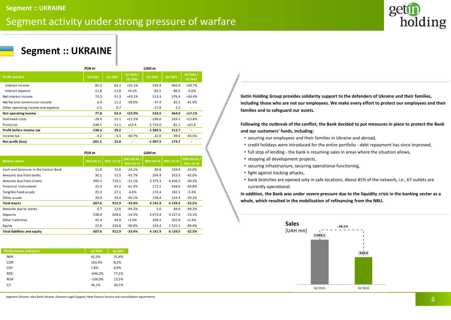# Segment activity under strong pressure of warfare



# **Segment :: UKRAINE**

|                                    | PLN m    |         |                          | UAH <sub>m</sub> |          |                          |
|------------------------------------|----------|---------|--------------------------|------------------|----------|--------------------------|
| <b>Profit and loss</b>             | Q1'2022  | Q1'2021 | Q1'2022 /<br>Q1'2021     | Q1'2022          | Q1'2021  | Q1'2022 /<br>Q1'2021     |
| Interest income                    | 85.3     | 63.1    | $+35.1%$                 | 595.9            | 462.9    | $+28.7%$                 |
| Interest expense                   | $-11.8$  | $-11.8$ | $+0.1%$                  | $-82.5$          | $-86.5$  | $-4.6%$                  |
| Net interest income                | 73.5     | 51.3    | $+43.1%$                 | 513.3            | 376.4    | $+36.4%$                 |
| Net fee and commission income      | 6.9      | 11.2    | $-39.0%$                 | 47.9             | 82.5     | $-41.9%$                 |
| Other operating income and expense | $-2.5$   | 0.7     | $\overline{\phantom{a}}$ | $-17.8$          | 5.2      | $\overline{\phantom{a}}$ |
| Net operating income               | 77.8     | 63.3    | $+22.9%$                 | 543.5            | 464.0    | $+17.1%$                 |
| Overhead costs                     | $-28.0$  | $-23.1$ | $+21.5%$                 | $-196.0$         | $-169.2$ | $+15.8%$                 |
| Provision                          | $-248.1$ | $-11.1$ | x22.4                    | $-1733.0$        | $-81.1$  | x21.4                    |
| Profit before income tax           | $-198.3$ | 29.2    | ٠                        | $-1385.5$        | 213.7    | $\overline{\phantom{a}}$ |
| Income tax                         | $-3.2$   | $-5.3$  | $-40.7%$                 | $-22.0$          | $-39.0$  | -43.5%                   |
| Net profit (loss)                  | $-201.5$ | 23.8    | ٠                        | $-1407.5$        | 174.7    | ۰                        |

|                                       | PLN m      |            |                            | UAH m       |                  |                            |
|---------------------------------------|------------|------------|----------------------------|-------------|------------------|----------------------------|
| <b>Balance sheet</b>                  | 2022-03-31 | 2021-12-31 | 2022-03-31 /<br>2021-12-31 | 2022-03-31  | $2021 - 12 - 31$ | 2022-03-31 /<br>2021-12-31 |
| Cash and balances in the Central Bank | 11.8       | 15.6       | $-24.1%$                   | 80.8        | 104.9            | $-23.0%$                   |
| Amounts due from banks                | 30.1       | 52.5       | $-42.7%$                   | 204.9       | 353.3            | $-42.0%$                   |
| Amounts due from clients              | 495.2      | 719.1      | $-31.1%$                   | 3 3 7 5 . 3 | 4836.2           | $-30.2%$                   |
| Financial instruments                 | 25.3       | 65.2       | $-61.3%$                   | 172.1       | 438.6            | $-60.8%$                   |
| Tangible fixed assets                 | 25.3       | 27.1       | $-6.6%$                    | 172.4       | 182.1            | $-5.3%$                    |
| Other assets                          | 20.0       | 33.4       | $-40.1%$                   | 136.4       | 224.3            | $-39.2%$                   |
| <b>Total Assets</b>                   | 607.6      | 912.9      | $-33.4%$                   | 4 14 1.9    | 6 1 3 9.5        | $-32.5%$                   |
| Amounts due to banks                  | 0.7        | 12.6       | $-94.2%$                   | 5.0         | 84.9             | $-94.2%$                   |
| Deposits                              | 538.9      | 628.6      | $-14.3%$                   | 3 673.4     | 4 2 2 7 .6       | $-13.1%$                   |
| Other liabilities                     | 45.4       | 44.9       | $+1.0%$                    | 309.2       | 301.9            | $+2.4%$                    |
| Equity                                | 22.6       | 226.8      | $-90.0%$                   | 154.4       | 1525.1           | $-89.9%$                   |
| <b>Total liabilities and equity</b>   | 607.6      | 912.9      | $-33.4%$                   | 4 141.9     | 6 139.5          | $-32.5%$                   |

| <b>Performance indicators</b> | Q1'2022   | Q1'2021 |
|-------------------------------|-----------|---------|
| <b>NIM</b>                    | 41,5%     | 31,4%   |
| <b>COR</b>                    | 163,4%    | 8,2%    |
| COF                           | 7,8%      | 8,9%    |
| <b>ROE</b>                    | $-646,2%$ | 77,1%   |
| <b>ROA</b>                    | $-106,0%$ | 13,5%   |
| C/I                           | 36,1%     | 36,5%   |
|                               |           |         |

**Getin Holding Group provides solidarity support to the defenders of Ukraine and their families, including those who are not our employees. We make every effort to protect our employees and their families and to safeguard our assets.**

**Following the outbreak of the conflict, the Bank decided to put measures in place to protect the Bank and our customers' funds, including:** 

- securing our employees and their families in Ukraine and abroad,
- credit holidays were introduced for the entire portfolio debt repayment has since improved,
- full stop of lending the bank is resuming sales in areas where the situation allows,
- stopping all development projects,
- securing infrastructure, securing operational functioning,
- fight against hacking attacks,
- bank branches are opened only in safe locations. About 85% of the network, i.e., 67 outlets are currently operational.

**In addition, the Bank was under severe pressure due to the liquidity crisis in the banking sector as a whole, which resulted in the mobilisation of refinancing from the NBU.**



Segment Ukraine: Idea Bank Ukraine, Gwarant Legal Support, New Finance Service and consolidation adjustments.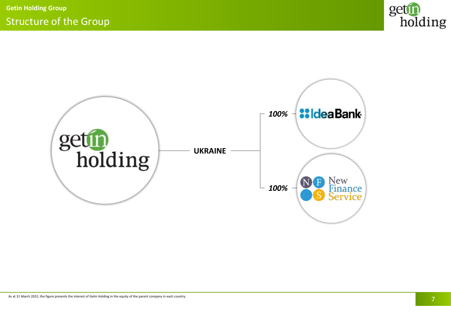

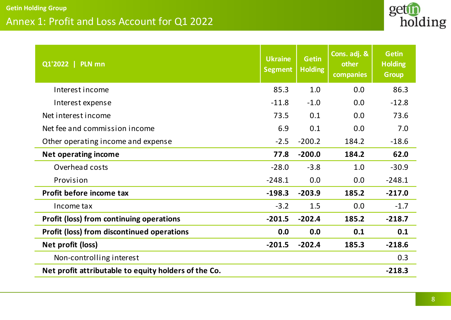# Annex 1: Profit and Loss Account for Q1 2022



| Q1'2022   PLN mn                                     | <b>Ukraine</b><br><b>Segment</b> | <b>Getin</b><br><b>Holding</b> | Cons. adj. &<br>other<br>companies | <b>Getin</b><br><b>Holding</b><br><b>Group</b> |
|------------------------------------------------------|----------------------------------|--------------------------------|------------------------------------|------------------------------------------------|
| Interest income                                      | 85.3                             | 1.0                            | 0.0                                | 86.3                                           |
| Interest expense                                     | $-11.8$                          | $-1.0$                         | 0.0                                | $-12.8$                                        |
| Net interest income                                  | 73.5                             | 0.1                            | 0.0                                | 73.6                                           |
| Net fee and commission income                        | 6.9                              | 0.1                            | 0.0                                | 7.0                                            |
| Other operating income and expense                   | $-2.5$                           | $-200.2$                       | 184.2                              | $-18.6$                                        |
| <b>Net operating income</b>                          | 77.8                             | $-200.0$                       | 184.2                              | 62.0                                           |
| Overhead costs                                       | $-28.0$                          | $-3.8$                         | 1.0                                | $-30.9$                                        |
| Provision                                            | $-248.1$                         | 0.0                            | 0.0                                | $-248.1$                                       |
| Profit before income tax                             | $-198.3$                         | $-203.9$                       | 185.2                              | $-217.0$                                       |
| Income tax                                           | $-3.2$                           | 1.5                            | 0.0                                | $-1.7$                                         |
| <b>Profit (loss) from continuing operations</b>      | $-201.5$                         | $-202.4$                       | 185.2                              | $-218.7$                                       |
| <b>Profit (loss) from discontinued operations</b>    | 0.0                              | 0.0                            | 0.1                                | 0.1                                            |
| Net profit (loss)                                    | $-201.5$                         | $-202.4$                       | 185.3                              | $-218.6$                                       |
| Non-controlling interest                             |                                  |                                |                                    | 0.3                                            |
| Net profit attributable to equity holders of the Co. |                                  |                                |                                    | $-218.3$                                       |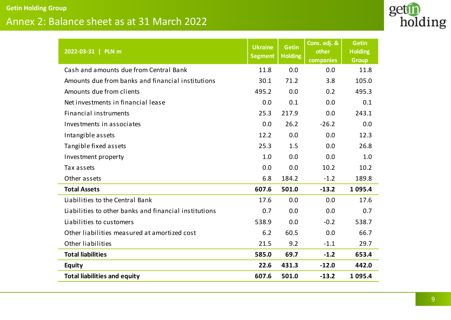# Annex 2: Balance sheet as at 31 March 2022



| 2022-03-31   PLN m                                    | <b>Ukraine</b><br><b>Segment</b> | <b>Getin</b><br><b>Holding</b> | Cons. adj. &<br>other<br>companies | <b>Getin</b><br><b>Holding</b><br><b>Group</b> |
|-------------------------------------------------------|----------------------------------|--------------------------------|------------------------------------|------------------------------------------------|
| Cash and amounts due from Central Bank                | 11.8                             | 0.0                            | 0.0                                | 11.8                                           |
| Amounts due from banks and financial institutions     | 30.1                             | 71.2                           | 3.8                                | 105.0                                          |
| Amounts due from clients                              | 495.2                            | 0.0                            | 0.2                                | 495.3                                          |
| Net investments in financial lease                    | 0.0                              | 0.1                            | 0.0                                | 0.1                                            |
| <b>Financial instruments</b>                          | 25.3                             | 217.9                          | 0.0                                | 243.1                                          |
| Investments in associates                             | 0.0                              | 26.2                           | $-26.2$                            | 0.0                                            |
| Intangible assets                                     | 12.2                             | 0.0                            | 0.0                                | 12.3                                           |
| Tangible fixed assets                                 | 25.3                             | 1.5                            | 0.0                                | 26.8                                           |
| Investment property                                   | 1.0                              | 0.0                            | 0.0                                | 1.0                                            |
| Tax assets                                            | 0.0                              | 0.0                            | 10.2                               | 10.2                                           |
| Other assets                                          | 6.8                              | 184.2                          | $-1.2$                             | 189.8                                          |
| <b>Total Assets</b>                                   | 607.6                            | 501.0                          | $-13.2$                            | 1 0 9 5 . 4                                    |
| Liabilities to the Central Bank                       | 17.6                             | 0.0                            | 0.0                                | 17.6                                           |
| Liabilities to other banks and financial institutions | 0.7                              | 0.0                            | 0.0                                | 0.7                                            |
| Liabilities to customers                              | 538.9                            | 0.0                            | $-0.2$                             | 538.7                                          |
| Other liabilities measured at amortized cost          | 6.2                              | 60.5                           | 0.0                                | 66.7                                           |
| Other liabilities                                     | 21.5                             | 9.2                            | $-1.1$                             | 29.7                                           |
| <b>Total liabilities</b>                              | 585.0                            | 69.7                           | $-1.2$                             | 653.4                                          |
| Equity                                                | 22.6                             | 431.3                          | $-12.0$                            | 442.0                                          |
| <b>Total liabilities and equity</b>                   | 607.6                            | 501.0                          | $-13.2$                            | 1 0 9 5 .4                                     |